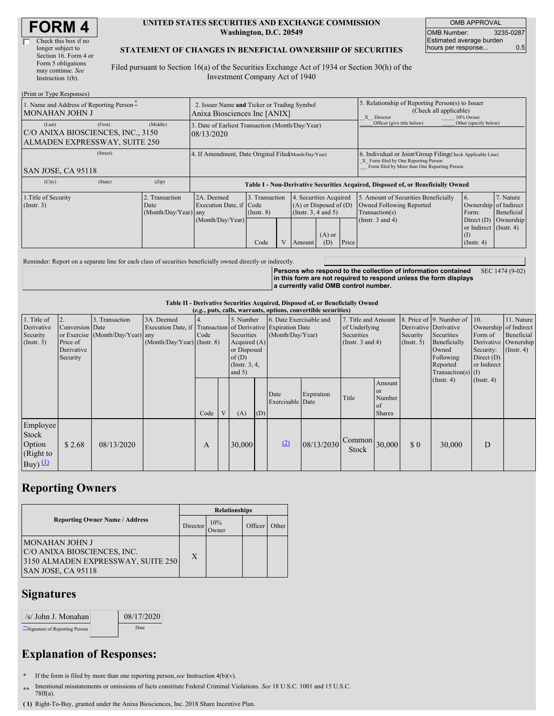| <b>FORM4</b> |
|--------------|
|--------------|

| Check this box if no  |
|-----------------------|
| longer subject to     |
| Section 16. Form 4 or |
| Form 5 obligations    |
| may continue. See     |
| Instruction 1(b).     |
|                       |

#### **UNITED STATES SECURITIES AND EXCHANGE COMMISSION Washington, D.C. 20549**

OMB APPROVAL OMB Number: 3235-0287 Estimated average burden hours per response... 0.5

#### **STATEMENT OF CHANGES IN BENEFICIAL OWNERSHIP OF SECURITIES**

Filed pursuant to Section 16(a) of the Securities Exchange Act of 1934 or Section 30(h) of the Investment Company Act of 1940

| (Print or Type Responses)                                                               |                                                                             |                                                                                  |                              |  |                                                                                  |          |                                                                                                       |                                                                                                                                                    |                                                                                        |                                      |  |
|-----------------------------------------------------------------------------------------|-----------------------------------------------------------------------------|----------------------------------------------------------------------------------|------------------------------|--|----------------------------------------------------------------------------------|----------|-------------------------------------------------------------------------------------------------------|----------------------------------------------------------------------------------------------------------------------------------------------------|----------------------------------------------------------------------------------------|--------------------------------------|--|
| 1. Name and Address of Reporting Person-<br>MONAHAN JOHN J                              | 2. Issuer Name and Ticker or Trading Symbol<br>Anixa Biosciences Inc [ANIX] |                                                                                  |                              |  |                                                                                  |          | 5. Relationship of Reporting Person(s) to Issuer<br>(Check all applicable)<br>10% Owner<br>X Director |                                                                                                                                                    |                                                                                        |                                      |  |
| (First)<br>(Last)<br>C/O ANIXA BIOSCIENCES, INC., 3150<br>ALMADEN EXPRESSWAY, SUITE 250 | (Middle)                                                                    | 3. Date of Earliest Transaction (Month/Day/Year)<br>08/13/2020                   |                              |  |                                                                                  |          |                                                                                                       | Officer (give title below)                                                                                                                         | Other (specify below)                                                                  |                                      |  |
| (Street)<br>SAN JOSE, CA 95118                                                          |                                                                             | 4. If Amendment, Date Original Filed Month/Day/Year)                             |                              |  |                                                                                  |          |                                                                                                       | 6. Individual or Joint/Group Filing Check Applicable Line)<br>X Form filed by One Reporting Person<br>Form filed by More than One Reporting Person |                                                                                        |                                      |  |
| (City)<br>(State)                                                                       | (Zip)                                                                       | Table I - Non-Derivative Securities Acquired, Disposed of, or Beneficially Owned |                              |  |                                                                                  |          |                                                                                                       |                                                                                                                                                    |                                                                                        |                                      |  |
| 1. Title of Security<br>$($ Instr. 3 $)$                                                | 2. Transaction<br>Date<br>(Month/Day/Year) any                              | 2A. Deemed<br>Execution Date, if Code<br>(Month/Day/Year)                        | 3. Transaction<br>(Insert 8) |  | 4. Securities Acquired<br>$(A)$ or Disposed of $(D)$<br>(Instr. $3, 4$ and $5$ ) | $(A)$ or |                                                                                                       | 5. Amount of Securities Beneficially<br>Owned Following Reported<br>Transaction(s)<br>(Instr. $3$ and $4$ )                                        | 16.<br>Ownership of Indirect<br>Form:<br>Direct $(D)$<br>or Indirect (Instr. 4)<br>(I) | 7. Nature<br>Beneficial<br>Ownership |  |
|                                                                                         |                                                                             |                                                                                  | Code                         |  | Amount                                                                           | (D)      | Price                                                                                                 |                                                                                                                                                    | $($ Instr. 4)                                                                          |                                      |  |

Reminder: Report on a separate line for each class of securities beneficially owned directly or indirectly.

**Persons who respond to the collection of information contained in this form are not required to respond unless the form displays a currently valid OMB control number.** SEC 1474 (9-02)

### **Table II - Derivative Securities Acquired, Disposed of, or Beneficially Owned**

| (e.g., puts, calls, warrants, options, convertible securities) |                                                       |                                                    |                                             |      |              |                                                                                |                                                                                                                               |                          |            |                                                                             |                                                                 |                         |                                                                                                                                           |                                                            |                                                                                            |
|----------------------------------------------------------------|-------------------------------------------------------|----------------------------------------------------|---------------------------------------------|------|--------------|--------------------------------------------------------------------------------|-------------------------------------------------------------------------------------------------------------------------------|--------------------------|------------|-----------------------------------------------------------------------------|-----------------------------------------------------------------|-------------------------|-------------------------------------------------------------------------------------------------------------------------------------------|------------------------------------------------------------|--------------------------------------------------------------------------------------------|
| 1. Title of<br>Derivative<br>Security<br>(Insert. 3)           | Conversion Date<br>Price of<br>Derivative<br>Security | 3. Transaction<br>or Exercise (Month/Day/Year) any | 3A. Deemed<br>$(Month/Day/Year)$ (Instr. 8) | Code |              | 5. Number<br>Securities<br>or Disposed<br>of(D)<br>(Instr. $3, 4,$<br>and $5)$ | 6. Date Exercisable and<br>Execution Date, if Transaction of Derivative Expiration Date<br>(Month/Day/Year)<br>Acquired $(A)$ |                          |            | 7. Title and Amount<br>of Underlying<br>Securities<br>(Instr. $3$ and $4$ ) |                                                                 | Security<br>(Insert. 5) | 8. Price of 9. Number of<br>Derivative Derivative<br>Securities<br>Beneficially<br>Owned<br>Following<br>Reported<br>$Transaction(s)$ (I) | 10.<br>Form of<br>Security:<br>Direct $(D)$<br>or Indirect | 11. Nature<br>Ownership of Indirect<br>Beneficial<br>Derivative Ownership<br>$($ Instr. 4) |
|                                                                |                                                       |                                                    |                                             | Code | $\mathbf{V}$ | (A)                                                                            | (D)                                                                                                                           | Date<br>Exercisable Date | Expiration | Title                                                                       | Amount<br><b>or</b><br>Number<br><sup>of</sup><br><b>Shares</b> |                         | $($ Instr. 4 $)$                                                                                                                          | $($ Instr. 4 $)$                                           |                                                                                            |
| Employee<br>Stock<br>Option<br>(Right to<br>Buy) $(1)$         | \$2.68                                                | 08/13/2020                                         |                                             | A    |              | 30,000                                                                         |                                                                                                                               | (2)                      | 08/13/2030 | $\sqrt{\text{Common}}$ 30,000<br>Stock                                      |                                                                 | $\Omega$                | 30,000                                                                                                                                    | D                                                          |                                                                                            |

### **Reporting Owners**

|                                                                                                            | <b>Relationships</b> |              |         |       |  |  |  |  |
|------------------------------------------------------------------------------------------------------------|----------------------|--------------|---------|-------|--|--|--|--|
| <b>Reporting Owner Name / Address</b>                                                                      | Director             | 10%<br>Owner | Officer | Other |  |  |  |  |
| IMONAHAN JOHN J<br>C/O ANIXA BIOSCIENCES, INC.<br>3150 ALMADEN EXPRESSWAY, SUITE 250<br>SAN JOSE, CA 95118 | X                    |              |         |       |  |  |  |  |

## **Signatures**

| /s/ John J. Monahan           | 08/17/2020 |
|-------------------------------|------------|
| Signature of Reporting Person | Date       |

# **Explanation of Responses:**

- **\*** If the form is filed by more than one reporting person,*see* Instruction 4(b)(v).
- **\*\*** Intentional misstatements or omissions of facts constitute Federal Criminal Violations. *See* 18 U.S.C. 1001 and 15 U.S.C. 78ff(a).
- **( 1)** Right-To-Buy, granted under the Anixa Biosciences, Inc. 2018 Share Incentive Plan.